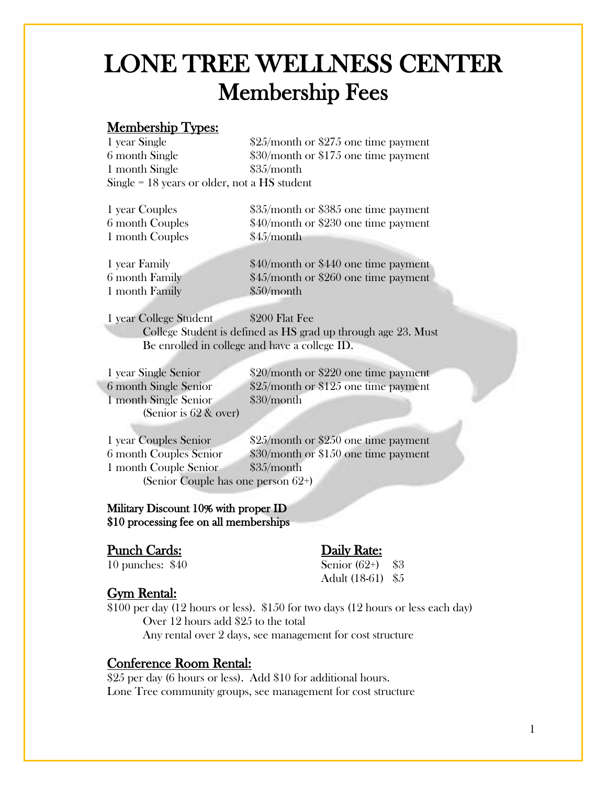# LONE TREE WELLNESS CENTER Membership Fees

### Membership Types:

| 1 year Single                                  | $$25/m$ onth or \$275 one time payment |
|------------------------------------------------|----------------------------------------|
| 6 month Single                                 | $$30/m$ onth or \$175 one time payment |
| 1 month Single                                 | \$35/month                             |
| $Single = 18$ years or older, not a HS student |                                        |

1 month Couples \$45/month

1 year Couples \$35/month or \$385 one time payment 6 month Couples \$40/month or \$230 one time payment

1 month Family \$50/month

1 year Family \$40/month or \$440 one time payment 6 month Family \$45/month or \$260 one time payment

1 year College Student \$200 Flat Fee College Student is defined as HS grad up through age 23. Must Be enrolled in college and have a college ID.

1 month Single Senior \$30/month (Senior is 62 & over)

1 year Single Senior \$20/month or \$220 one time payment 6 month Single Senior \$25/month or \$125 one time payment

1 year Couples Senior \$25/month or \$250 one time payment 6 month Couples Senior \$30/month or \$150 one time payment 1 month Couple Senior \$35/month (Senior Couple has one person 62+)

 Military Discount 10% with proper ID \$10 processing fee on all memberships

#### Punch Cards: Daily Rate:

10 punches: \$40 Senior (62+) \$3 Adult (18-61) \$5

#### Gym Rental:

\$100 per day (12 hours or less). \$150 for two days (12 hours or less each day) Over 12 hours add \$25 to the total Any rental over 2 days, see management for cost structure

#### Conference Room Rental:

\$25 per day (6 hours or less). Add \$10 for additional hours. Lone Tree community groups, see management for cost structure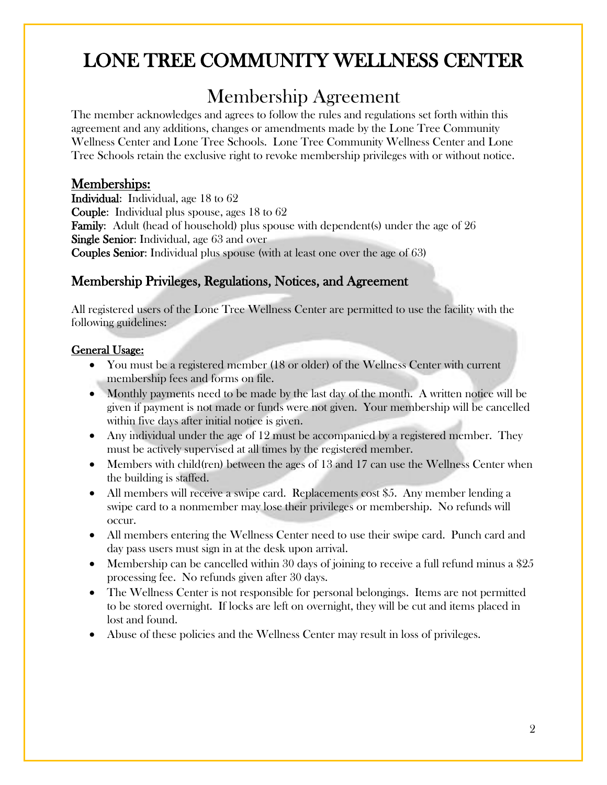# LONE TREE COMMUNITY WELLNESS CENTER

## Membership Agreement

The member acknowledges and agrees to follow the rules and regulations set forth within this agreement and any additions, changes or amendments made by the Lone Tree Community Wellness Center and Lone Tree Schools. Lone Tree Community Wellness Center and Lone Tree Schools retain the exclusive right to revoke membership privileges with or without notice.

### Memberships:

Individual: Individual, age 18 to 62 Couple: Individual plus spouse, ages 18 to 62 Family: Adult (head of household) plus spouse with dependent(s) under the age of 26 Single Senior: Individual, age 63 and over Couples Senior: Individual plus spouse (with at least one over the age of 63)

### Membership Privileges, Regulations, Notices, and Agreement

All registered users of the Lone Tree Wellness Center are permitted to use the facility with the following guidelines:

#### General Usage:

- You must be a registered member (18 or older) of the Wellness Center with current membership fees and forms on file.
- Monthly payments need to be made by the last day of the month. A written notice will be given if payment is not made or funds were not given. Your membership will be cancelled within five days after initial notice is given.
- Any individual under the age of 12 must be accompanied by a registered member. They must be actively supervised at all times by the registered member.
- Members with child(ren) between the ages of 13 and 17 can use the Wellness Center when the building is staffed.
- All members will receive a swipe card. Replacements cost \$5. Any member lending a swipe card to a nonmember may lose their privileges or membership. No refunds will occur.
- All members entering the Wellness Center need to use their swipe card. Punch card and day pass users must sign in at the desk upon arrival.
- Membership can be cancelled within 30 days of joining to receive a full refund minus a  $\$25$ processing fee. No refunds given after 30 days.
- The Wellness Center is not responsible for personal belongings. Items are not permitted to be stored overnight. If locks are left on overnight, they will be cut and items placed in lost and found.
- Abuse of these policies and the Wellness Center may result in loss of privileges.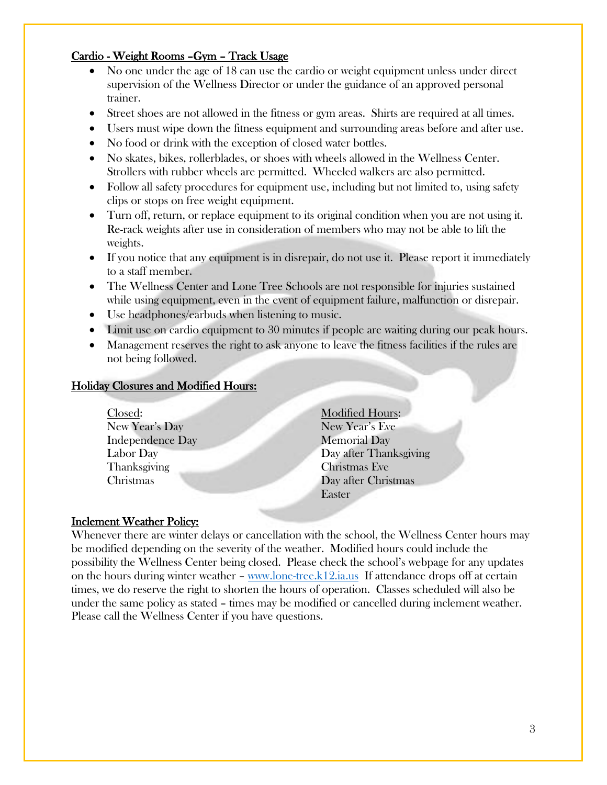#### Cardio - Weight Rooms –Gym – Track Usage

- No one under the age of 18 can use the cardio or weight equipment unless under direct supervision of the Wellness Director or under the guidance of an approved personal trainer.
- Street shoes are not allowed in the fitness or gym areas. Shirts are required at all times.
- Users must wipe down the fitness equipment and surrounding areas before and after use.
- No food or drink with the exception of closed water bottles.
- No skates, bikes, rollerblades, or shoes with wheels allowed in the Wellness Center. Strollers with rubber wheels are permitted. Wheeled walkers are also permitted.
- Follow all safety procedures for equipment use, including but not limited to, using safety clips or stops on free weight equipment.
- Turn off, return, or replace equipment to its original condition when you are not using it. Re-rack weights after use in consideration of members who may not be able to lift the weights.
- If you notice that any equipment is in disrepair, do not use it. Please report it immediately to a staff member.
- The Wellness Center and Lone Tree Schools are not responsible for injuries sustained while using equipment, even in the event of equipment failure, malfunction or disrepair.
- Use headphones/earbuds when listening to music.
- Limit use on cardio equipment to 30 minutes if people are waiting during our peak hours.
- Management reserves the right to ask anyone to leave the fitness facilities if the rules are not being followed.

#### Holiday Closures and Modified Hours:

- Closed: Modified Hours: New Year's Day New Year's Eve Independence Day Memorial Day Thanksgiving Christmas Eve
- Labor Day Day after Thanksgiving Christmas Day after Christmas Easter

#### Inclement Weather Policy:

Whenever there are winter delays or cancellation with the school, the Wellness Center hours may be modified depending on the severity of the weather. Modified hours could include the possibility the Wellness Center being closed. Please check the school's webpage for any updates on the hours during winter weather – [www.lone-tree.k12.ia.us](http://www.lone-tree.k12.ia.us/) If attendance drops off at certain times, we do reserve the right to shorten the hours of operation. Classes scheduled will also be under the same policy as stated – times may be modified or cancelled during inclement weather. Please call the Wellness Center if you have questions.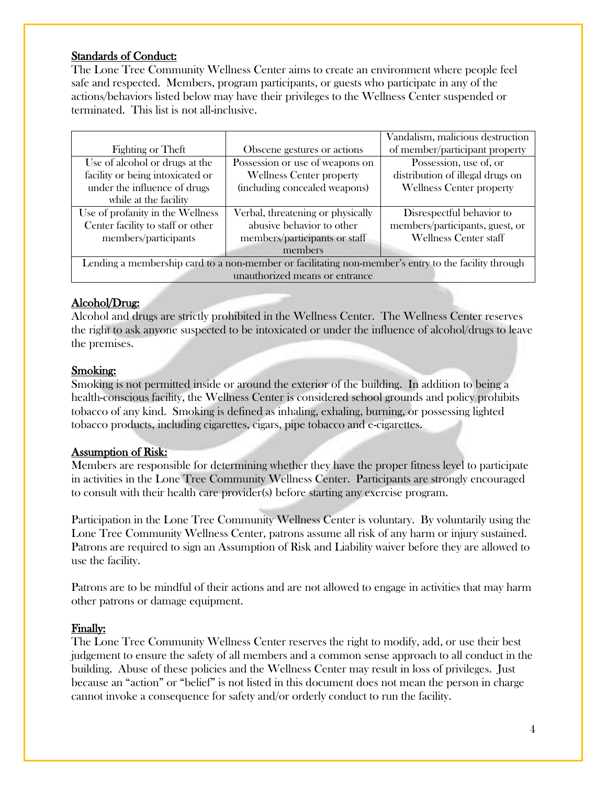#### Standards of Conduct:

The Lone Tree Community Wellness Center aims to create an environment where people feel safe and respected. Members, program participants, or guests who participate in any of the actions/behaviors listed below may have their privileges to the Wellness Center suspended or terminated. This list is not all-inclusive.

|                                                                                                      |                                   | Vandalism, malicious destruction |  |  |
|------------------------------------------------------------------------------------------------------|-----------------------------------|----------------------------------|--|--|
| Fighting or Theft                                                                                    | Obscene gestures or actions       | of member/participant property   |  |  |
| Use of alcohol or drugs at the                                                                       | Possession or use of weapons on   | Possession, use of, or           |  |  |
| facility or being intoxicated or                                                                     | <b>Wellness Center property</b>   | distribution of illegal drugs on |  |  |
| under the influence of drugs                                                                         | (including concealed weapons)     | <b>Wellness Center property</b>  |  |  |
| while at the facility                                                                                |                                   |                                  |  |  |
| Use of profanity in the Wellness                                                                     | Verbal, threatening or physically | Disrespectful behavior to        |  |  |
| Center facility to staff or other                                                                    | abusive behavior to other         | members/participants, guest, or  |  |  |
| members/participants                                                                                 | members/participants or staff     | <b>Wellness Center staff</b>     |  |  |
|                                                                                                      | members                           |                                  |  |  |
| Lending a membership card to a non-member or facilitating non-member's entry to the facility through |                                   |                                  |  |  |
| unauthorized means or entrance                                                                       |                                   |                                  |  |  |

#### Alcohol/Drug:

Alcohol and drugs are strictly prohibited in the Wellness Center. The Wellness Center reserves the right to ask anyone suspected to be intoxicated or under the influence of alcohol/drugs to leave the premises.

#### Smoking:

Smoking is not permitted inside or around the exterior of the building. In addition to being a health-conscious facility, the Wellness Center is considered school grounds and policy prohibits tobacco of any kind. Smoking is defined as inhaling, exhaling, burning, or possessing lighted tobacco products, including cigarettes, cigars, pipe tobacco and e-cigarettes.

#### Assumption of Risk:

Members are responsible for determining whether they have the proper fitness level to participate in activities in the Lone Tree Community Wellness Center. Participants are strongly encouraged to consult with their health care provider(s) before starting any exercise program.

Participation in the Lone Tree Community Wellness Center is voluntary. By voluntarily using the Lone Tree Community Wellness Center, patrons assume all risk of any harm or injury sustained. Patrons are required to sign an Assumption of Risk and Liability waiver before they are allowed to use the facility.

Patrons are to be mindful of their actions and are not allowed to engage in activities that may harm other patrons or damage equipment.

#### Finally:

The Lone Tree Community Wellness Center reserves the right to modify, add, or use their best judgement to ensure the safety of all members and a common sense approach to all conduct in the building. Abuse of these policies and the Wellness Center may result in loss of privileges. Just because an "action" or "belief" is not listed in this document does not mean the person in charge cannot invoke a consequence for safety and/or orderly conduct to run the facility.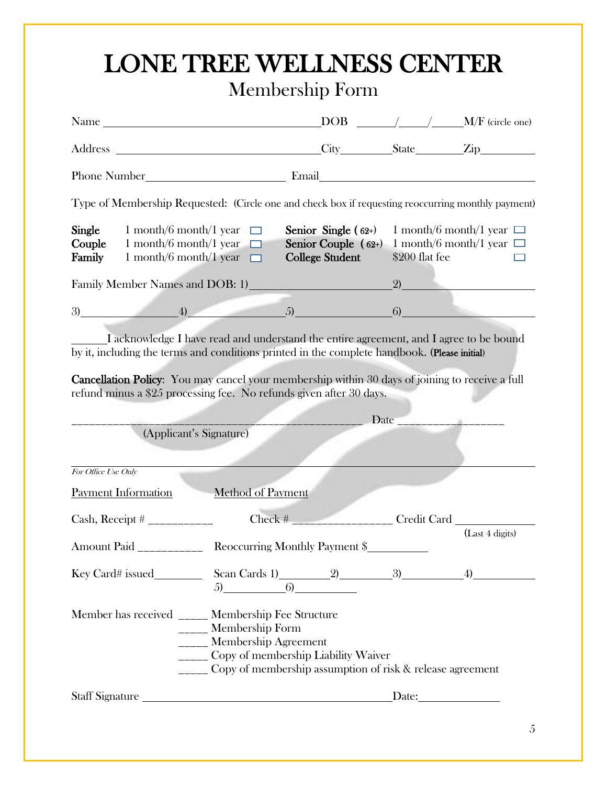# LONE TREE WELLNESS CENTER Membership Form

|                                                                                                                                                                                                                                                                                                                                                                  |                                                     |                                                                                                              |                | $DOB$ $\_\_\_\_\_\_$ / $\_\_\_\_$ M/F (circle one)             |
|------------------------------------------------------------------------------------------------------------------------------------------------------------------------------------------------------------------------------------------------------------------------------------------------------------------------------------------------------------------|-----------------------------------------------------|--------------------------------------------------------------------------------------------------------------|----------------|----------------------------------------------------------------|
| Address City State Zip                                                                                                                                                                                                                                                                                                                                           |                                                     |                                                                                                              |                |                                                                |
|                                                                                                                                                                                                                                                                                                                                                                  |                                                     |                                                                                                              |                |                                                                |
| Type of Membership Requested: (Circle one and check box if requesting reoccurring monthly payment)                                                                                                                                                                                                                                                               |                                                     |                                                                                                              |                |                                                                |
| Single<br>1 month/6 month/1 year $\Box$<br>Couple<br>1 month/6 month/1 year $\Box$<br>Family<br>1 month/6 month/1 year $\Box$                                                                                                                                                                                                                                    |                                                     | Senior Single $(62+)$<br>Senior Couple $(62+)$<br><b>College Student</b>                                     | \$200 flat fee | 1 month/6 month/1 year $\Box$<br>1 month/6 month/1 year $\Box$ |
| Family Member Names and DOB: 1)<br><u>Land Constantine and Constantine and Constantine and Constantine and Constantine and Constantine and Constantine and Constantine and Constantine and Constantine and Constantine and Constan</u>                                                                                                                           |                                                     |                                                                                                              |                | (2)                                                            |
| $3)$ (3) (4) $5)$ (6)                                                                                                                                                                                                                                                                                                                                            |                                                     |                                                                                                              |                |                                                                |
| I acknowledge I have read and understand the entire agreement, and I agree to be bound<br>by it, including the terms and conditions printed in the complete handbook. (Please initial)<br>Cancellation Policy: You may cancel your membership within 30 days of joining to receive a full<br>refund minus a \$25 processing fee. No refunds given after 30 days. |                                                     |                                                                                                              |                |                                                                |
|                                                                                                                                                                                                                                                                                                                                                                  |                                                     |                                                                                                              | Date           |                                                                |
| (Applicant's Signature)                                                                                                                                                                                                                                                                                                                                          |                                                     |                                                                                                              |                |                                                                |
| For Office Use Only                                                                                                                                                                                                                                                                                                                                              |                                                     |                                                                                                              |                |                                                                |
| <b>Payment Information</b>                                                                                                                                                                                                                                                                                                                                       | <b>Method of Payment</b>                            |                                                                                                              |                |                                                                |
|                                                                                                                                                                                                                                                                                                                                                                  |                                                     | $Check$ #                                                                                                    |                | Credit Card                                                    |
| <b>Amount Paid</b>                                                                                                                                                                                                                                                                                                                                               |                                                     | Reoccurring Monthly Payment \$                                                                               |                | (Last 4 digits)                                                |
|                                                                                                                                                                                                                                                                                                                                                                  |                                                     |                                                                                                              |                |                                                                |
| Member has received _____ Membership Fee Structure                                                                                                                                                                                                                                                                                                               | _____ Membership Form<br>_____ Membership Agreement | _____ Copy of membership Liability Waiver<br>_____ Copy of membership assumption of risk & release agreement |                |                                                                |
|                                                                                                                                                                                                                                                                                                                                                                  |                                                     |                                                                                                              |                |                                                                |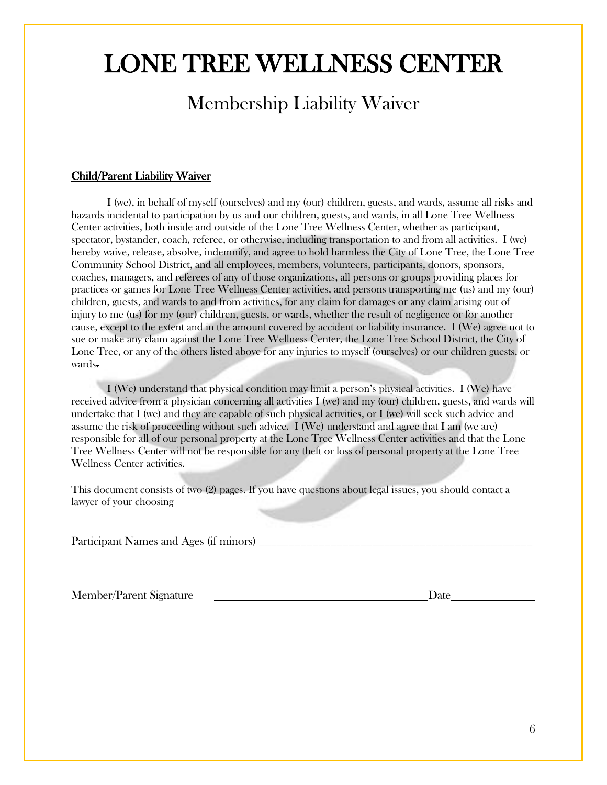# LONE TREE WELLNESS CENTER

### Membership Liability Waiver

#### Child/Parent Liability Waiver

I (we), in behalf of myself (ourselves) and my (our) children, guests, and wards, assume all risks and hazards incidental to participation by us and our children, guests, and wards, in all Lone Tree Wellness Center activities, both inside and outside of the Lone Tree Wellness Center, whether as participant, spectator, bystander, coach, referee, or otherwise, including transportation to and from all activities. I (we) hereby waive, release, absolve, indemnify, and agree to hold harmless the City of Lone Tree, the Lone Tree Community School District, and all employees, members, volunteers, participants, donors, sponsors, coaches, managers, and referees of any of those organizations, all persons or groups providing places for practices or games for Lone Tree Wellness Center activities, and persons transporting me (us) and my (our) children, guests, and wards to and from activities, for any claim for damages or any claim arising out of injury to me (us) for my (our) children, guests, or wards, whether the result of negligence or for another cause, except to the extent and in the amount covered by accident or liability insurance. I (We) agree not to sue or make any claim against the Lone Tree Wellness Center, the Lone Tree School District, the City of Lone Tree, or any of the others listed above for any injuries to myself (ourselves) or our children guests, or wards.

I (We) understand that physical condition may limit a person's physical activities. I (We) have received advice from a physician concerning all activities I (we) and my (our) children, guests, and wards will undertake that I (we) and they are capable of such physical activities, or I (we) will seek such advice and assume the risk of proceeding without such advice. I (We) understand and agree that I am (we are) responsible for all of our personal property at the Lone Tree Wellness Center activities and that the Lone Tree Wellness Center will not be responsible for any theft or loss of personal property at the Lone Tree Wellness Center activities.

This document consists of two (2) pages. If you have questions about legal issues, you should contact a lawyer of your choosing

Participant Names and Ages (if minors) \_\_\_\_\_\_\_\_\_\_\_\_\_\_\_\_\_\_\_\_\_\_\_\_\_\_\_\_\_\_\_\_\_\_\_\_\_\_\_\_\_\_\_\_\_\_

Member/Parent Signature Date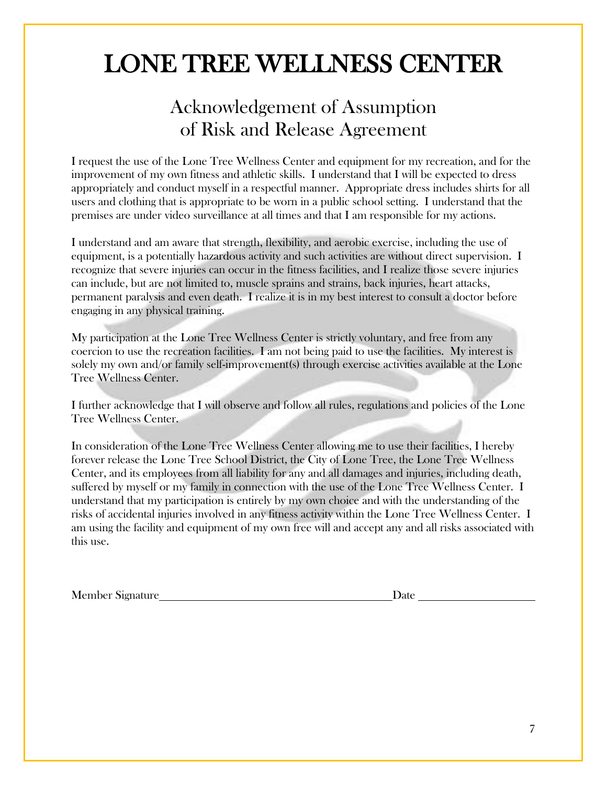# LONE TREE WELLNESS CENTER

### Acknowledgement of Assumption of Risk and Release Agreement

I request the use of the Lone Tree Wellness Center and equipment for my recreation, and for the improvement of my own fitness and athletic skills. I understand that I will be expected to dress appropriately and conduct myself in a respectful manner. Appropriate dress includes shirts for all users and clothing that is appropriate to be worn in a public school setting. I understand that the premises are under video surveillance at all times and that I am responsible for my actions.

I understand and am aware that strength, flexibility, and aerobic exercise, including the use of equipment, is a potentially hazardous activity and such activities are without direct supervision. I recognize that severe injuries can occur in the fitness facilities, and I realize those severe injuries can include, but are not limited to, muscle sprains and strains, back injuries, heart attacks, permanent paralysis and even death. I realize it is in my best interest to consult a doctor before engaging in any physical training.

My participation at the Lone Tree Wellness Center is strictly voluntary, and free from any coercion to use the recreation facilities. I am not being paid to use the facilities. My interest is solely my own and/or family self-improvement(s) through exercise activities available at the Lone Tree Wellness Center.

I further acknowledge that I will observe and follow all rules, regulations and policies of the Lone Tree Wellness Center.

In consideration of the Lone Tree Wellness Center allowing me to use their facilities, I hereby forever release the Lone Tree School District, the City of Lone Tree, the Lone Tree Wellness Center, and its employees from all liability for any and all damages and injuries, including death, suffered by myself or my family in connection with the use of the Lone Tree Wellness Center. I understand that my participation is entirely by my own choice and with the understanding of the risks of accidental injuries involved in any fitness activity within the Lone Tree Wellness Center. I am using the facility and equipment of my own free will and accept any and all risks associated with this use.

Member Signature Date Date